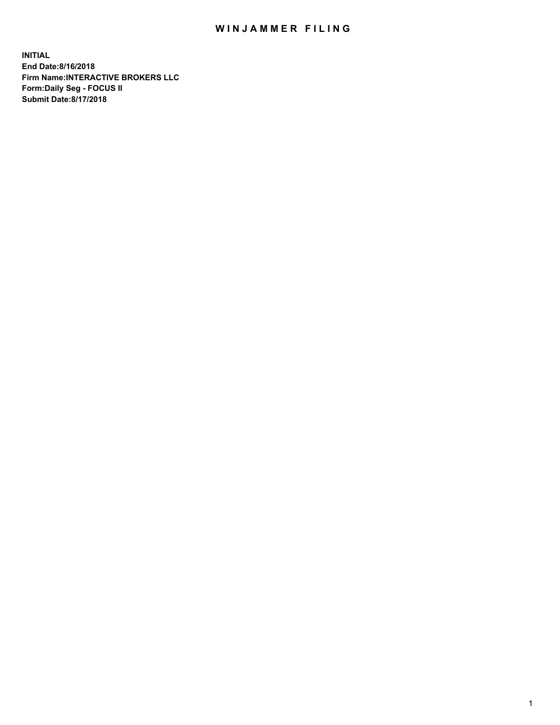## WIN JAMMER FILING

**INITIAL End Date:8/16/2018 Firm Name:INTERACTIVE BROKERS LLC Form:Daily Seg - FOCUS II Submit Date:8/17/2018**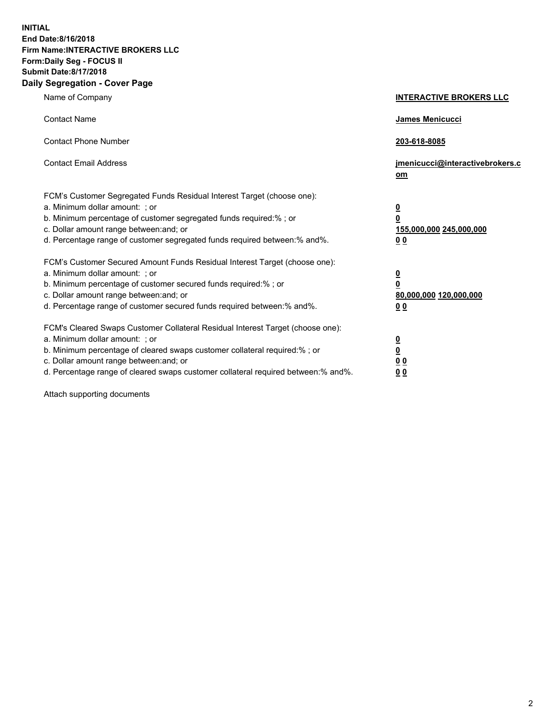**INITIAL End Date:8/16/2018 Firm Name:INTERACTIVE BROKERS LLC Form:Daily Seg - FOCUS II Submit Date:8/17/2018 Daily Segregation - Cover Page**

| Name of Company                                                                                                                                                                                                                                                                                                                | <b>INTERACTIVE BROKERS LLC</b>                                                                  |
|--------------------------------------------------------------------------------------------------------------------------------------------------------------------------------------------------------------------------------------------------------------------------------------------------------------------------------|-------------------------------------------------------------------------------------------------|
| <b>Contact Name</b>                                                                                                                                                                                                                                                                                                            | James Menicucci                                                                                 |
| <b>Contact Phone Number</b>                                                                                                                                                                                                                                                                                                    | 203-618-8085                                                                                    |
| <b>Contact Email Address</b>                                                                                                                                                                                                                                                                                                   | jmenicucci@interactivebrokers.c<br>om                                                           |
| FCM's Customer Segregated Funds Residual Interest Target (choose one):<br>a. Minimum dollar amount: ; or<br>b. Minimum percentage of customer segregated funds required:% ; or<br>c. Dollar amount range between: and; or<br>d. Percentage range of customer segregated funds required between:% and%.                         | $\overline{\mathbf{0}}$<br>$\overline{\mathbf{0}}$<br>155,000,000 245,000,000<br>0 <sub>0</sub> |
| FCM's Customer Secured Amount Funds Residual Interest Target (choose one):<br>a. Minimum dollar amount: ; or<br>b. Minimum percentage of customer secured funds required:% ; or<br>c. Dollar amount range between: and; or<br>d. Percentage range of customer secured funds required between:% and%.                           | $\overline{\mathbf{0}}$<br>0<br>80,000,000 120,000,000<br>0 <sub>0</sub>                        |
| FCM's Cleared Swaps Customer Collateral Residual Interest Target (choose one):<br>a. Minimum dollar amount: ; or<br>b. Minimum percentage of cleared swaps customer collateral required:% ; or<br>c. Dollar amount range between: and; or<br>d. Percentage range of cleared swaps customer collateral required between:% and%. | $\overline{\mathbf{0}}$<br><u>0</u><br>$\underline{0}$ $\underline{0}$<br>00                    |

Attach supporting documents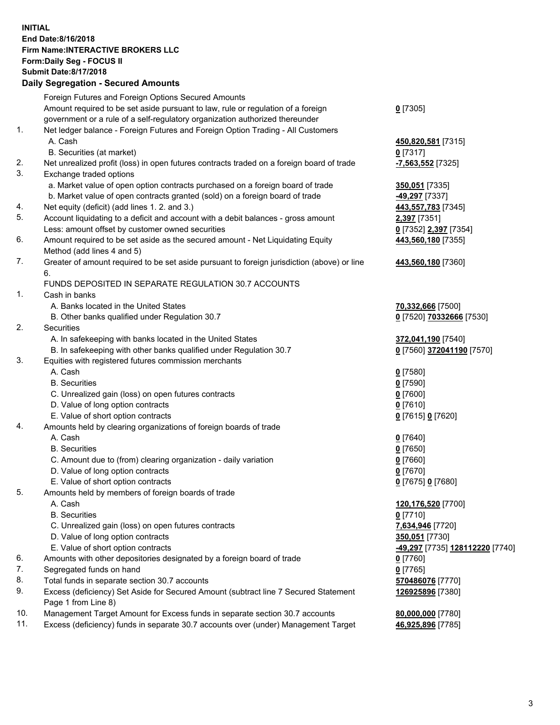## **INITIAL End Date:8/16/2018 Firm Name:INTERACTIVE BROKERS LLC Form:Daily Seg - FOCUS II Submit Date:8/17/2018 Daily Segregation - Secured Amounts**

|          | Daily Segregation - Secured Aniounts                                                        |                                              |
|----------|---------------------------------------------------------------------------------------------|----------------------------------------------|
|          | Foreign Futures and Foreign Options Secured Amounts                                         |                                              |
|          | Amount required to be set aside pursuant to law, rule or regulation of a foreign            | $0$ [7305]                                   |
|          | government or a rule of a self-regulatory organization authorized thereunder                |                                              |
| 1.       | Net ledger balance - Foreign Futures and Foreign Option Trading - All Customers             |                                              |
|          | A. Cash                                                                                     | 450,820,581 [7315]                           |
|          | B. Securities (at market)                                                                   | $0$ [7317]                                   |
| 2.       | Net unrealized profit (loss) in open futures contracts traded on a foreign board of trade   | -7,563,552 [7325]                            |
| 3.       | Exchange traded options                                                                     |                                              |
|          | a. Market value of open option contracts purchased on a foreign board of trade              | 350,051 [7335]                               |
|          | b. Market value of open contracts granted (sold) on a foreign board of trade                | -49,297 [7337]                               |
| 4.       | Net equity (deficit) (add lines 1.2. and 3.)                                                | 443,557,783 [7345]                           |
| 5.       | Account liquidating to a deficit and account with a debit balances - gross amount           | 2,397 [7351]                                 |
|          | Less: amount offset by customer owned securities                                            | 0 [7352] 2,397 [7354]                        |
| 6.       | Amount required to be set aside as the secured amount - Net Liquidating Equity              | 443,560,180 [7355]                           |
|          | Method (add lines 4 and 5)                                                                  |                                              |
| 7.       | Greater of amount required to be set aside pursuant to foreign jurisdiction (above) or line | 443,560,180 [7360]                           |
|          | 6.                                                                                          |                                              |
|          | FUNDS DEPOSITED IN SEPARATE REGULATION 30.7 ACCOUNTS                                        |                                              |
| 1.       | Cash in banks                                                                               |                                              |
|          | A. Banks located in the United States                                                       | 70,332,666 [7500]                            |
|          | B. Other banks qualified under Regulation 30.7                                              | 0 [7520] 70332666 [7530]                     |
| 2.       | Securities                                                                                  |                                              |
|          | A. In safekeeping with banks located in the United States                                   | 372,041,190 [7540]                           |
|          | B. In safekeeping with other banks qualified under Regulation 30.7                          | 0 [7560] 372041190 [7570]                    |
| 3.       | Equities with registered futures commission merchants                                       |                                              |
|          | A. Cash                                                                                     | $0$ [7580]                                   |
|          | <b>B.</b> Securities                                                                        | $0$ [7590]                                   |
|          | C. Unrealized gain (loss) on open futures contracts                                         | $0$ [7600]                                   |
|          | D. Value of long option contracts                                                           | $0$ [7610]                                   |
|          | E. Value of short option contracts                                                          | 0 [7615] 0 [7620]                            |
| 4.       | Amounts held by clearing organizations of foreign boards of trade                           |                                              |
|          | A. Cash                                                                                     | $0$ [7640]                                   |
|          | <b>B.</b> Securities                                                                        | $0$ [7650]                                   |
|          | C. Amount due to (from) clearing organization - daily variation                             | $0$ [7660]                                   |
|          | D. Value of long option contracts                                                           | $0$ [7670]                                   |
|          | E. Value of short option contracts                                                          | 0 [7675] 0 [7680]                            |
| 5.       | Amounts held by members of foreign boards of trade                                          |                                              |
|          | A. Cash                                                                                     | 120,176,520 [7700]                           |
|          | <b>B.</b> Securities                                                                        | $0$ [7710]                                   |
|          | C. Unrealized gain (loss) on open futures contracts                                         | 7,634,946 [7720]                             |
|          | D. Value of long option contracts                                                           | 350,051 [7730]                               |
|          | E. Value of short option contracts                                                          | <mark>-49,297</mark> [7735] 128112220 [7740] |
| 6.<br>7. | Amounts with other depositories designated by a foreign board of trade                      | 0 [7760]                                     |
| 8.       | Segregated funds on hand<br>Total funds in separate section 30.7 accounts                   | $0$ [7765]                                   |
| 9.       | Excess (deficiency) Set Aside for Secured Amount (subtract line 7 Secured Statement         | 570486076 [7770]<br>126925896 [7380]         |
|          | Page 1 from Line 8)                                                                         |                                              |
| 10.      | Management Target Amount for Excess funds in separate section 30.7 accounts                 | 80,000,000 [7780]                            |
| 11.      | Excess (deficiency) funds in separate 30.7 accounts over (under) Management Target          | 46,925,896 [7785]                            |
|          |                                                                                             |                                              |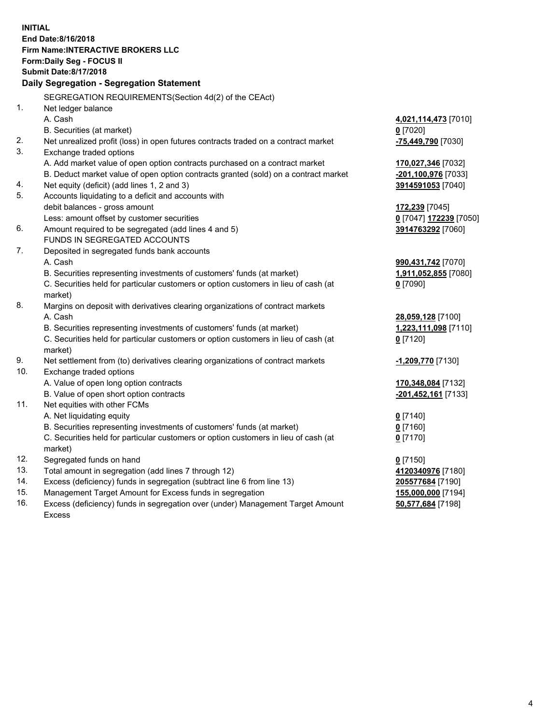**INITIAL End Date:8/16/2018 Firm Name:INTERACTIVE BROKERS LLC Form:Daily Seg - FOCUS II Submit Date:8/17/2018 Daily Segregation - Segregation Statement** SEGREGATION REQUIREMENTS(Section 4d(2) of the CEAct) 1. Net ledger balance A. Cash **4,021,114,473** [7010] B. Securities (at market) **0** [7020] 2. Net unrealized profit (loss) in open futures contracts traded on a contract market **-75,449,790** [7030] 3. Exchange traded options A. Add market value of open option contracts purchased on a contract market **170,027,346** [7032] B. Deduct market value of open option contracts granted (sold) on a contract market **-201,100,976** [7033] 4. Net equity (deficit) (add lines 1, 2 and 3) **3914591053** [7040] 5. Accounts liquidating to a deficit and accounts with debit balances - gross amount **172,239** [7045] Less: amount offset by customer securities **0** [7047] **172239** [7050] 6. Amount required to be segregated (add lines 4 and 5) **3914763292** [7060] FUNDS IN SEGREGATED ACCOUNTS 7. Deposited in segregated funds bank accounts A. Cash **990,431,742** [7070] B. Securities representing investments of customers' funds (at market) **1,911,052,855** [7080] C. Securities held for particular customers or option customers in lieu of cash (at market) **0** [7090] 8. Margins on deposit with derivatives clearing organizations of contract markets A. Cash **28,059,128** [7100] B. Securities representing investments of customers' funds (at market) **1,223,111,098** [7110] C. Securities held for particular customers or option customers in lieu of cash (at market) **0** [7120] 9. Net settlement from (to) derivatives clearing organizations of contract markets **-1,209,770** [7130] 10. Exchange traded options A. Value of open long option contracts **170,348,084** [7132] B. Value of open short option contracts **-201,452,161** [7133] 11. Net equities with other FCMs A. Net liquidating equity **0** [7140] B. Securities representing investments of customers' funds (at market) **0** [7160] C. Securities held for particular customers or option customers in lieu of cash (at market) **0** [7170] 12. Segregated funds on hand **0** [7150] 13. Total amount in segregation (add lines 7 through 12) **4120340976** [7180] 14. Excess (deficiency) funds in segregation (subtract line 6 from line 13) **205577684** [7190] 15. Management Target Amount for Excess funds in segregation **155,000,000** [7194] 16. Excess (deficiency) funds in segregation over (under) Management Target Amount **50,577,684** [7198]

Excess